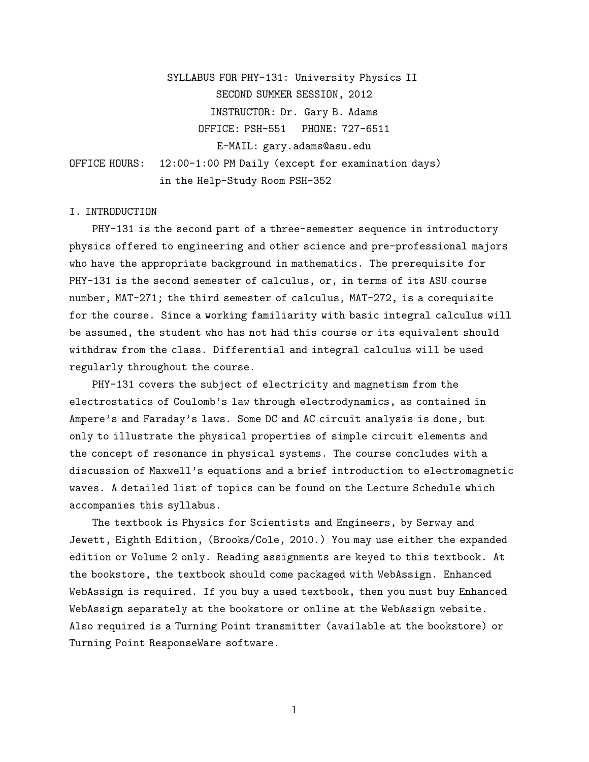SYLLABUS FOR PHY-131: University Physics II SECOND SUMMER SESSION, 2012 INSTRUCTOR: Dr. Gary B. Adams OFFICE: PSH-551 PHONE: 727-6511 E-MAIL: gary.adams@asu.edu OFFICE HOURS: 12:00-1:00 PM Daily (except for examination days) in the Help-Study Room PSH-352

# I. INTRODUCTION

PHY-131 is the second part of a three-semester sequence in introductory physics offered to engineering and other science and pre-professional majors who have the appropriate background in mathematics. The prerequisite for PHY-131 is the second semester of calculus, or, in terms of its ASU course number, MAT-271; the third semester of calculus, MAT-272, is a corequisite for the course. Since a working familiarity with basic integral calculus will be assumed, the student who has not had this course or its equivalent should withdraw from the class. Differential and integral calculus will be used regularly throughout the course.

PHY-131 covers the subject of electricity and magnetism from the electrostatics of Coulomb's law through electrodynamics, as contained in Ampere's and Faraday's laws. Some DC and AC circuit analysis is done, but only to illustrate the physical properties of simple circuit elements and the concept of resonance in physical systems. The course concludes with a discussion of Maxwell's equations and a brief introduction to electromagnetic waves. A detailed list of topics can be found on the Lecture Schedule which accompanies this syllabus.

The textbook is Physics for Scientists and Engineers, by Serway and Jewett, Eighth Edition, (Brooks/Cole, 2010.) You may use either the expanded edition or Volume 2 only. Reading assignments are keyed to this textbook. At the bookstore, the textbook should come packaged with WebAssign. Enhanced WebAssign is required. If you buy a used textbook, then you must buy Enhanced WebAssign separately at the bookstore or online at the WebAssign website. Also required is a Turning Point transmitter (available at the bookstore) or Turning Point ResponseWare software.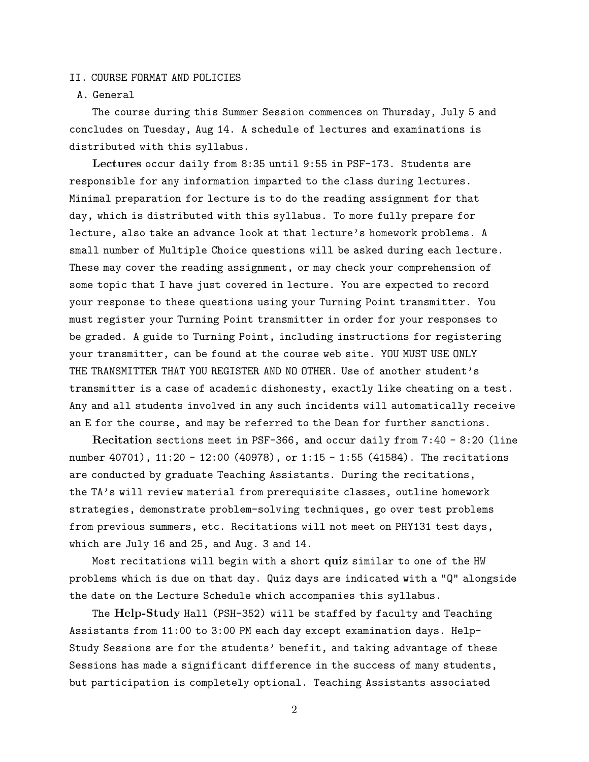#### II. COURSE FORMAT AND POLICIES

# A. General

The course during this Summer Session commences on Thursday, July 5 and concludes on Tuesday, Aug 14. A schedule of lectures and examinations is distributed with this syllabus.

Lectures occur daily from 8:35 until 9:55 in PSF-173. Students are responsible for any information imparted to the class during lectures. Minimal preparation for lecture is to do the reading assignment for that day, which is distributed with this syllabus. To more fully prepare for lecture, also take an advance look at that lecture's homework problems. A small number of Multiple Choice questions will be asked during each lecture. These may cover the reading assignment, or may check your comprehension of some topic that I have just covered in lecture. You are expected to record your response to these questions using your Turning Point transmitter. You must register your Turning Point transmitter in order for your responses to be graded. A guide to Turning Point, including instructions for registering your transmitter, can be found at the course web site. YOU MUST USE ONLY THE TRANSMITTER THAT YOU REGISTER AND NO OTHER. Use of another student's transmitter is a case of academic dishonesty, exactly like cheating on a test. Any and all students involved in any such incidents will automatically receive an E for the course, and may be referred to the Dean for further sanctions.

Recitation sections meet in PSF-366, and occur daily from 7:40 - 8:20 (line number 40701), 11:20 - 12:00 (40978), or 1:15 - 1:55 (41584). The recitations are conducted by graduate Teaching Assistants. During the recitations, the TA's will review material from prerequisite classes, outline homework strategies, demonstrate problem-solving techniques, go over test problems from previous summers, etc. Recitations will not meet on PHY131 test days, which are July 16 and 25, and Aug. 3 and 14.

Most recitations will begin with a short quiz similar to one of the HW problems which is due on that day. Quiz days are indicated with a "Q" alongside the date on the Lecture Schedule which accompanies this syllabus.

The Help-Study Hall (PSH-352) will be staffed by faculty and Teaching Assistants from 11:00 to 3:00 PM each day except examination days. Help-Study Sessions are for the students' benefit, and taking advantage of these Sessions has made a significant difference in the success of many students, but participation is completely optional. Teaching Assistants associated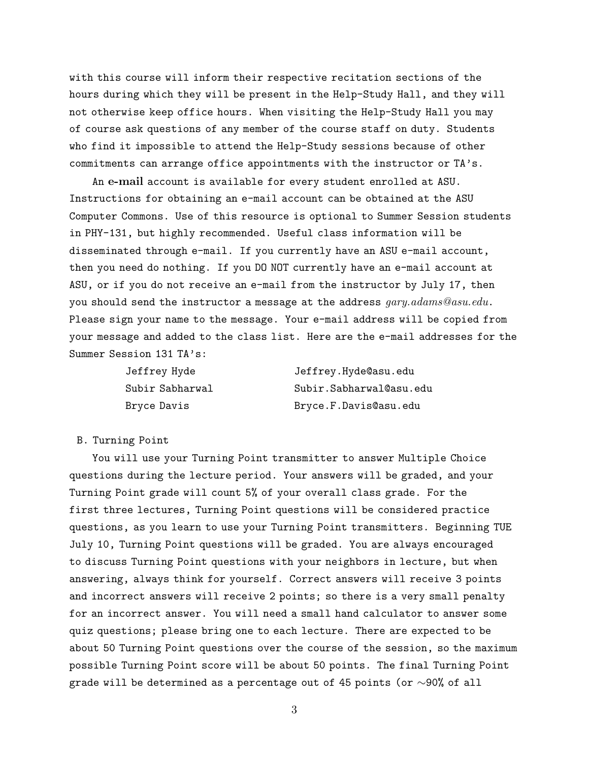with this course will inform their respective recitation sections of the hours during which they will be present in the Help-Study Hall, and they will not otherwise keep office hours. When visiting the Help-Study Hall you may of course ask questions of any member of the course staff on duty. Students who find it impossible to attend the Help-Study sessions because of other commitments can arrange office appointments with the instructor or TA's.

An e-mail account is available for every student enrolled at ASU. Instructions for obtaining an e-mail account can be obtained at the ASU Computer Commons. Use of this resource is optional to Summer Session students in PHY-131, but highly recommended. Useful class information will be disseminated through e-mail. If you currently have an ASU e-mail account, then you need do nothing. If you DO NOT currently have an e-mail account at ASU, or if you do not receive an e-mail from the instructor by July 17, then you should send the instructor a message at the address  $gary. Adams@asu.edu$ . Please sign your name to the message. Your e-mail address will be copied from your message and added to the class list. Here are the e-mail addresses for the Summer Session 131 TA's:

| Jeffrey Hyde    | Jeffrey.Hyde@asu.edu    |
|-----------------|-------------------------|
| Subir Sabharwal | Subir.Sabharwal@asu.edu |
| Bryce Davis     | Bryce.F.Davis@asu.edu   |

#### B. Turning Point

You will use your Turning Point transmitter to answer Multiple Choice questions during the lecture period. Your answers will be graded, and your Turning Point grade will count 5% of your overall class grade. For the first three lectures, Turning Point questions will be considered practice questions, as you learn to use your Turning Point transmitters. Beginning TUE July 10, Turning Point questions will be graded. You are always encouraged to discuss Turning Point questions with your neighbors in lecture, but when answering, always think for yourself. Correct answers will receive 3 points and incorrect answers will receive 2 points; so there is a very small penalty for an incorrect answer. You will need a small hand calculator to answer some quiz questions; please bring one to each lecture. There are expected to be about 50 Turning Point questions over the course of the session, so the maximum possible Turning Point score will be about 50 points. The final Turning Point grade will be determined as a percentage out of 45 points (or  $\sim$ 90% of all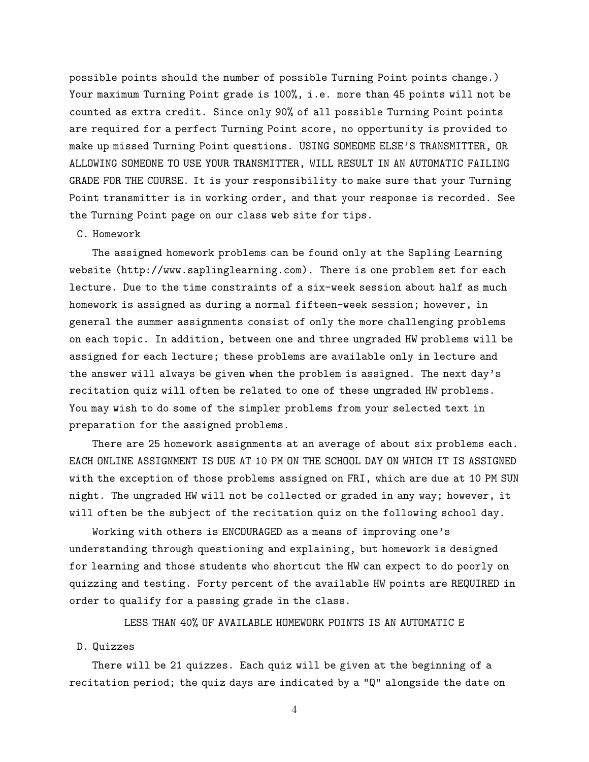possible points should the number of possible Turning Point points change.) Your maximum Turning Point grade is 100%, i.e. more than 45 points will not be counted as extra credit. Since only 90% of all possible Turning Point points are required for a perfect Turning Point score, no opportunity is provided to make up missed Turning Point questions. USING SOMEOME ELSE'S TRANSMITTER, OR ALLOWING SOMEONE TO USE YOUR TRANSMITTER, WILL RESULT IN AN AUTOMATIC FAILING GRADE FOR THE COURSE. It is your responsibility to make sure that your Turning Point transmitter is in working order, and that your response is recorded. See the Turning Point page on our class web site for tips.

# C. Homework

The assigned homework problems can be found only at the Sapling Learning website (http://www.saplinglearning.com). There is one problem set for each lecture. Due to the time constraints of a six-week session about half as much homework is assigned as during a normal fifteen-week session; however, in general the summer assignments consist of only the more challenging problems on each topic. In addition, between one and three ungraded HW problems will be assigned for each lecture; these problems are available only in lecture and the answer will always be given when the problem is assigned. The next day's recitation quiz will often be related to one of these ungraded HW problems. You may wish to do some of the simpler problems from your selected text in preparation for the assigned problems.

There are 25 homework assignments at an average of about six problems each. EACH ONLINE ASSIGNMENT IS DUE AT 10 PM ON THE SCHOOL DAY ON WHICH IT IS ASSIGNED with the exception of those problems assigned on FRI, which are due at 10 PM SUN night. The ungraded HW will not be collected or graded in any way; however, it will often be the subject of the recitation quiz on the following school day.

Working with others is ENCOURAGED as a means of improving one's understanding through questioning and explaining, but homework is designed for learning and those students who shortcut the HW can expect to do poorly on quizzing and testing. Forty percent of the available HW points are REQUIRED in order to qualify for a passing grade in the class.

LESS THAN 40% OF AVAILABLE HOMEWORK POINTS IS AN AUTOMATIC E

#### D. Quizzes

There will be 21 quizzes. Each quiz will be given at the beginning of a recitation period; the quiz days are indicated by a "Q" alongside the date on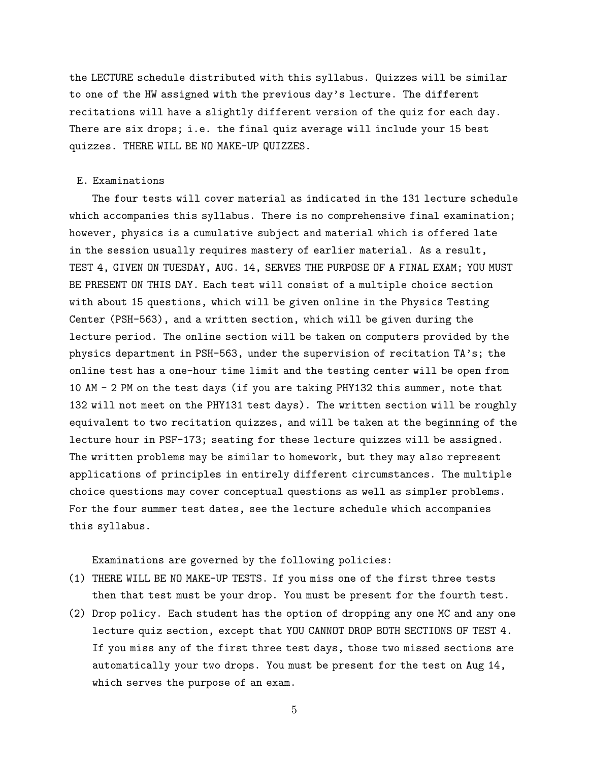the LECTURE schedule distributed with this syllabus. Quizzes will be similar to one of the HW assigned with the previous day's lecture. The different recitations will have a slightly different version of the quiz for each day. There are six drops; i.e. the final quiz average will include your 15 best quizzes. THERE WILL BE NO MAKE-UP QUIZZES.

## E. Examinations

The four tests will cover material as indicated in the 131 lecture schedule which accompanies this syllabus. There is no comprehensive final examination; however, physics is a cumulative subject and material which is offered late in the session usually requires mastery of earlier material. As a result, TEST 4, GIVEN ON TUESDAY, AUG. 14, SERVES THE PURPOSE OF A FINAL EXAM; YOU MUST BE PRESENT ON THIS DAY. Each test will consist of a multiple choice section with about 15 questions, which will be given online in the Physics Testing Center (PSH-563), and a written section, which will be given during the lecture period. The online section will be taken on computers provided by the physics department in PSH-563, under the supervision of recitation TA's; the online test has a one-hour time limit and the testing center will be open from 10 AM - 2 PM on the test days (if you are taking PHY132 this summer, note that 132 will not meet on the PHY131 test days). The written section will be roughly equivalent to two recitation quizzes, and will be taken at the beginning of the lecture hour in PSF-173; seating for these lecture quizzes will be assigned. The written problems may be similar to homework, but they may also represent applications of principles in entirely different circumstances. The multiple choice questions may cover conceptual questions as well as simpler problems. For the four summer test dates, see the lecture schedule which accompanies this syllabus.

Examinations are governed by the following policies:

- (1) THERE WILL BE NO MAKE-UP TESTS. If you miss one of the first three tests then that test must be your drop. You must be present for the fourth test.
- (2) Drop policy. Each student has the option of dropping any one MC and any one lecture quiz section, except that YOU CANNOT DROP BOTH SECTIONS OF TEST 4. If you miss any of the first three test days, those two missed sections are automatically your two drops. You must be present for the test on Aug 14, which serves the purpose of an exam.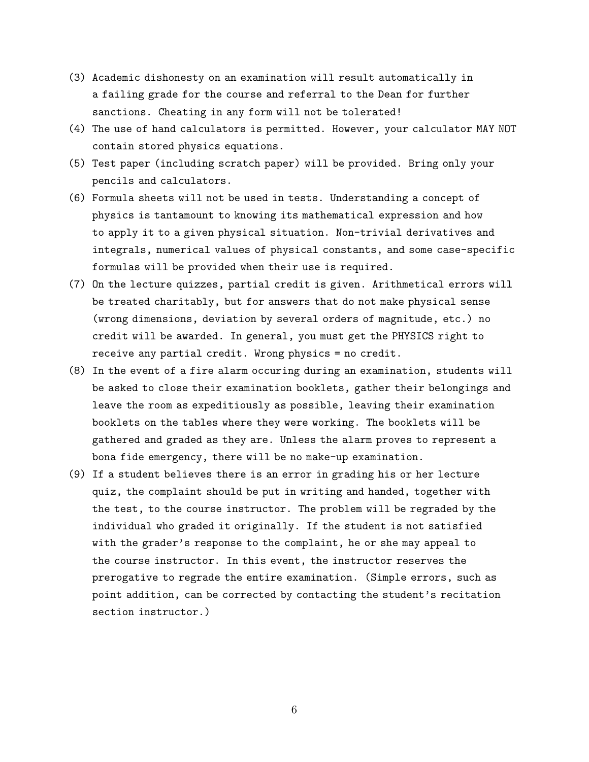- (3) Academic dishonesty on an examination will result automatically in a failing grade for the course and referral to the Dean for further sanctions. Cheating in any form will not be tolerated!
- (4) The use of hand calculators is permitted. However, your calculator MAY NOT contain stored physics equations.
- (5) Test paper (including scratch paper) will be provided. Bring only your pencils and calculators.
- (6) Formula sheets will not be used in tests. Understanding a concept of physics is tantamount to knowing its mathematical expression and how to apply it to a given physical situation. Non-trivial derivatives and integrals, numerical values of physical constants, and some case-specific formulas will be provided when their use is required.
- (7) On the lecture quizzes, partial credit is given. Arithmetical errors will be treated charitably, but for answers that do not make physical sense (wrong dimensions, deviation by several orders of magnitude, etc.) no credit will be awarded. In general, you must get the PHYSICS right to receive any partial credit. Wrong physics = no credit.
- (8) In the event of a fire alarm occuring during an examination, students will be asked to close their examination booklets, gather their belongings and leave the room as expeditiously as possible, leaving their examination booklets on the tables where they were working. The booklets will be gathered and graded as they are. Unless the alarm proves to represent a bona fide emergency, there will be no make-up examination.
- (9) If a student believes there is an error in grading his or her lecture quiz, the complaint should be put in writing and handed, together with the test, to the course instructor. The problem will be regraded by the individual who graded it originally. If the student is not satisfied with the grader's response to the complaint, he or she may appeal to the course instructor. In this event, the instructor reserves the prerogative to regrade the entire examination. (Simple errors, such as point addition, can be corrected by contacting the student's recitation section instructor.)